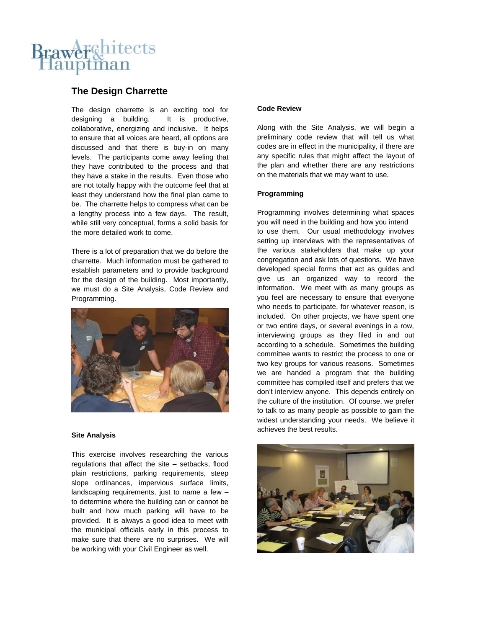# Brawerchitects lauptman

## **The Design Charrette**

The design charrette is an exciting tool for designing a building. It is productive, collaborative, energizing and inclusive. It helps to ensure that all voices are heard, all options are discussed and that there is buy-in on many levels. The participants come away feeling that they have contributed to the process and that they have a stake in the results. Even those who are not totally happy with the outcome feel that at least they understand how the final plan came to be. The charrette helps to compress what can be a lengthy process into a few days. The result, while still very conceptual, forms a solid basis for the more detailed work to come.

There is a lot of preparation that we do before the charrette. Much information must be gathered to establish parameters and to provide background for the design of the building. Most importantly, we must do a Site Analysis, Code Review and Programming.



#### **Site Analysis**

This exercise involves researching the various regulations that affect the site – setbacks, flood plain restrictions, parking requirements, steep slope ordinances, impervious surface limits, landscaping requirements, just to name a few – to determine where the building can or cannot be built and how much parking will have to be provided. It is always a good idea to meet with the municipal officials early in this process to make sure that there are no surprises. We will be working with your Civil Engineer as well.

#### **Code Review**

Along with the Site Analysis, we will begin a preliminary code review that will tell us what codes are in effect in the municipality, if there are any specific rules that might affect the layout of the plan and whether there are any restrictions on the materials that we may want to use.

#### **Programming**

Programming involves determining what spaces you will need in the building and how you intend to use them. Our usual methodology involves setting up interviews with the representatives of the various stakeholders that make up your congregation and ask lots of questions. We have developed special forms that act as guides and give us an organized way to record the information. We meet with as many groups as you feel are necessary to ensure that everyone who needs to participate, for whatever reason, is included. On other projects, we have spent one or two entire days, or several evenings in a row, interviewing groups as they filed in and out according to a schedule. Sometimes the building committee wants to restrict the process to one or two key groups for various reasons. Sometimes we are handed a program that the building committee has compiled itself and prefers that we don't interview anyone. This depends entirely on the culture of the institution. Of course, we prefer to talk to as many people as possible to gain the widest understanding your needs. We believe it achieves the best results.